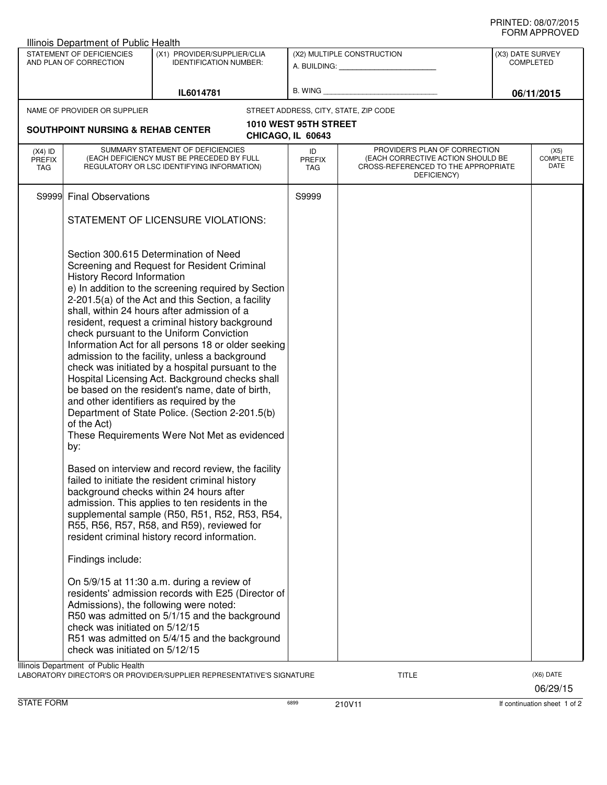## PRINTED: 08/07/2015 FORM APPROVED

|                                          | STATEMENT OF DEFICIENCIES<br>AND PLAN OF CORRECTION              | (X1) PROVIDER/SUPPLIER/CLIA<br><b>IDENTIFICATION NUMBER:</b>                                                                                                                                                                                                                                                                                                                                                                                                                                                                                                                                                                                                                                                                                                       | (X2) MULTIPLE CONSTRUCTION<br>STREET ADDRESS, CITY, STATE, ZIP CODE |                                                                                                                          |  | (X3) DATE SURVEY<br><b>COMPLETED</b><br>06/11/2015 |  |
|------------------------------------------|------------------------------------------------------------------|--------------------------------------------------------------------------------------------------------------------------------------------------------------------------------------------------------------------------------------------------------------------------------------------------------------------------------------------------------------------------------------------------------------------------------------------------------------------------------------------------------------------------------------------------------------------------------------------------------------------------------------------------------------------------------------------------------------------------------------------------------------------|---------------------------------------------------------------------|--------------------------------------------------------------------------------------------------------------------------|--|----------------------------------------------------|--|
|                                          |                                                                  | IL6014781                                                                                                                                                                                                                                                                                                                                                                                                                                                                                                                                                                                                                                                                                                                                                          |                                                                     |                                                                                                                          |  |                                                    |  |
|                                          | NAME OF PROVIDER OR SUPPLIER                                     |                                                                                                                                                                                                                                                                                                                                                                                                                                                                                                                                                                                                                                                                                                                                                                    |                                                                     |                                                                                                                          |  |                                                    |  |
|                                          |                                                                  |                                                                                                                                                                                                                                                                                                                                                                                                                                                                                                                                                                                                                                                                                                                                                                    | 1010 WEST 95TH STREET                                               |                                                                                                                          |  |                                                    |  |
|                                          | <b>SOUTHPOINT NURSING &amp; REHAB CENTER</b>                     |                                                                                                                                                                                                                                                                                                                                                                                                                                                                                                                                                                                                                                                                                                                                                                    | CHICAGO, IL 60643                                                   |                                                                                                                          |  |                                                    |  |
| $(X4)$ ID<br><b>PREFIX</b><br><b>TAG</b> |                                                                  | SUMMARY STATEMENT OF DEFICIENCIES<br>(EACH DEFICIENCY MUST BE PRECEDED BY FULL<br>REGULATORY OR LSC IDENTIFYING INFORMATION)                                                                                                                                                                                                                                                                                                                                                                                                                                                                                                                                                                                                                                       | ID<br><b>PREFIX</b><br>TAG                                          | PROVIDER'S PLAN OF CORRECTION<br>(EACH CORRECTIVE ACTION SHOULD BE<br>CROSS-REFERENCED TO THE APPROPRIATE<br>DEFICIENCY) |  | (X5)<br><b>COMPLETE</b><br>DATE                    |  |
|                                          | S9999 Final Observations                                         |                                                                                                                                                                                                                                                                                                                                                                                                                                                                                                                                                                                                                                                                                                                                                                    | S9999                                                               |                                                                                                                          |  |                                                    |  |
|                                          |                                                                  | STATEMENT OF LICENSURE VIOLATIONS:                                                                                                                                                                                                                                                                                                                                                                                                                                                                                                                                                                                                                                                                                                                                 |                                                                     |                                                                                                                          |  |                                                    |  |
|                                          | <b>History Record Information</b><br>of the Act)<br>by:          | Section 300.615 Determination of Need<br>Screening and Request for Resident Criminal<br>e) In addition to the screening required by Section<br>2-201.5(a) of the Act and this Section, a facility<br>shall, within 24 hours after admission of a<br>resident, request a criminal history background<br>check pursuant to the Uniform Conviction<br>Information Act for all persons 18 or older seeking<br>admission to the facility, unless a background<br>check was initiated by a hospital pursuant to the<br>Hospital Licensing Act. Background checks shall<br>be based on the resident's name, date of birth,<br>and other identifiers as required by the<br>Department of State Police. (Section 2-201.5(b)<br>These Requirements Were Not Met as evidenced |                                                                     |                                                                                                                          |  |                                                    |  |
|                                          | Findings include:                                                | Based on interview and record review, the facility<br>failed to initiate the resident criminal history<br>background checks within 24 hours after<br>admission. This applies to ten residents in the<br>supplemental sample (R50, R51, R52, R53, R54,<br>R55, R56, R57, R58, and R59), reviewed for<br>resident criminal history record information.                                                                                                                                                                                                                                                                                                                                                                                                               |                                                                     |                                                                                                                          |  |                                                    |  |
|                                          | check was initiated on 5/12/15<br>check was initiated on 5/12/15 | On 5/9/15 at 11:30 a.m. during a review of<br>residents' admission records with E25 (Director of<br>Admissions), the following were noted:<br>R50 was admitted on 5/1/15 and the background<br>R51 was admitted on 5/4/15 and the background                                                                                                                                                                                                                                                                                                                                                                                                                                                                                                                       |                                                                     |                                                                                                                          |  |                                                    |  |

STATE FORM **EXAM** 6899 6899 210V11 **1999** 210V11 **1999** 1210V11